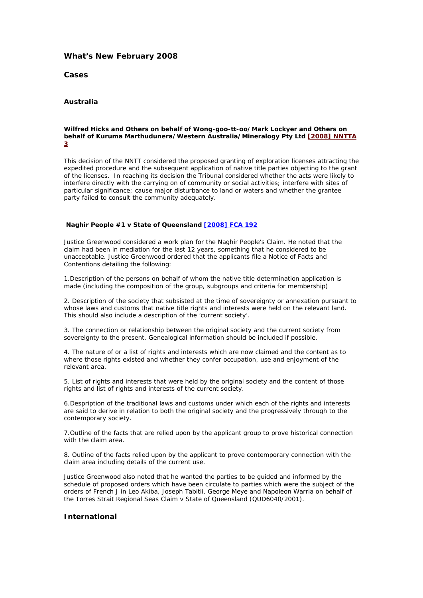## **What's New February 2008**

**Cases**

### **Australia**

#### *Wilfred Hicks and Others on behalf of Wong-goo-tt-oo/Mark Lockyer and Others on behalf of Kuruma Marthudunera/Western Australia/Mineralogy Pty Ltd* **[\[2008\] NNTTA](http://www.austlii.edu.au/au/cases/cth/NNTTA/2008/3.html)  [3](http://www.austlii.edu.au/au/cases/cth/NNTTA/2008/3.html)**

This decision of the NNTT considered the proposed granting of exploration licenses attracting the expedited procedure and the subsequent application of native title parties objecting to the grant of the licenses. In reaching its decision the Tribunal considered whether the acts were likely to interfere directly with the carrying on of community or social activities; interfere with sites of particular significance; cause major disturbance to land or waters and whether the grantee party failed to consult the community adequately.

#### *Naghir People #1 v State of Queensland* **[2008] FCA 192**

Justice Greenwood considered a work plan for the Naghir People's Claim. He noted that the claim had been in mediation for the last 12 years, something that he considered to be unacceptable. Justice Greenwood ordered that the applicants file a Notice of Facts and Contentions detailing the following:

1.Description of the persons on behalf of whom the native title determination application is made (including the composition of the group, subgroups and criteria for membership)

2. Description of the society that subsisted at the time of sovereignty or annexation pursuant to whose laws and customs that native title rights and interests were held on the relevant land. This should also include a description of the 'current society'.

3. The connection or relationship between the original society and the current society from sovereignty to the present. Genealogical information should be included if possible.

4. The nature of or a list of rights and interests which are now claimed and the content as to where those rights existed and whether they confer occupation, use and enjoyment of the relevant area.

5. List of rights and interests that were held by the original society and the content of those rights and list of rights and interests of the current society.

6.Despription of the traditional laws and customs under which each of the rights and interests are said to derive in relation to both the original society and the progressively through to the contemporary society.

7.Outline of the facts that are relied upon by the applicant group to prove historical connection with the claim area.

8. Outline of the facts relied upon by the applicant to prove contemporary connection with the claim area including details of the current use.

Justice Greenwood also noted that he wanted the parties to be guided and informed by the schedule of proposed orders which have been circulate to parties which were the subject of the orders of French J in *Leo Akiba, Joseph Tabitii, George Meye and Napoleon Warria on behalf of the Torres Strait Regional Seas Claim v State of Queensland* (QUD6040/2001).

## **International**